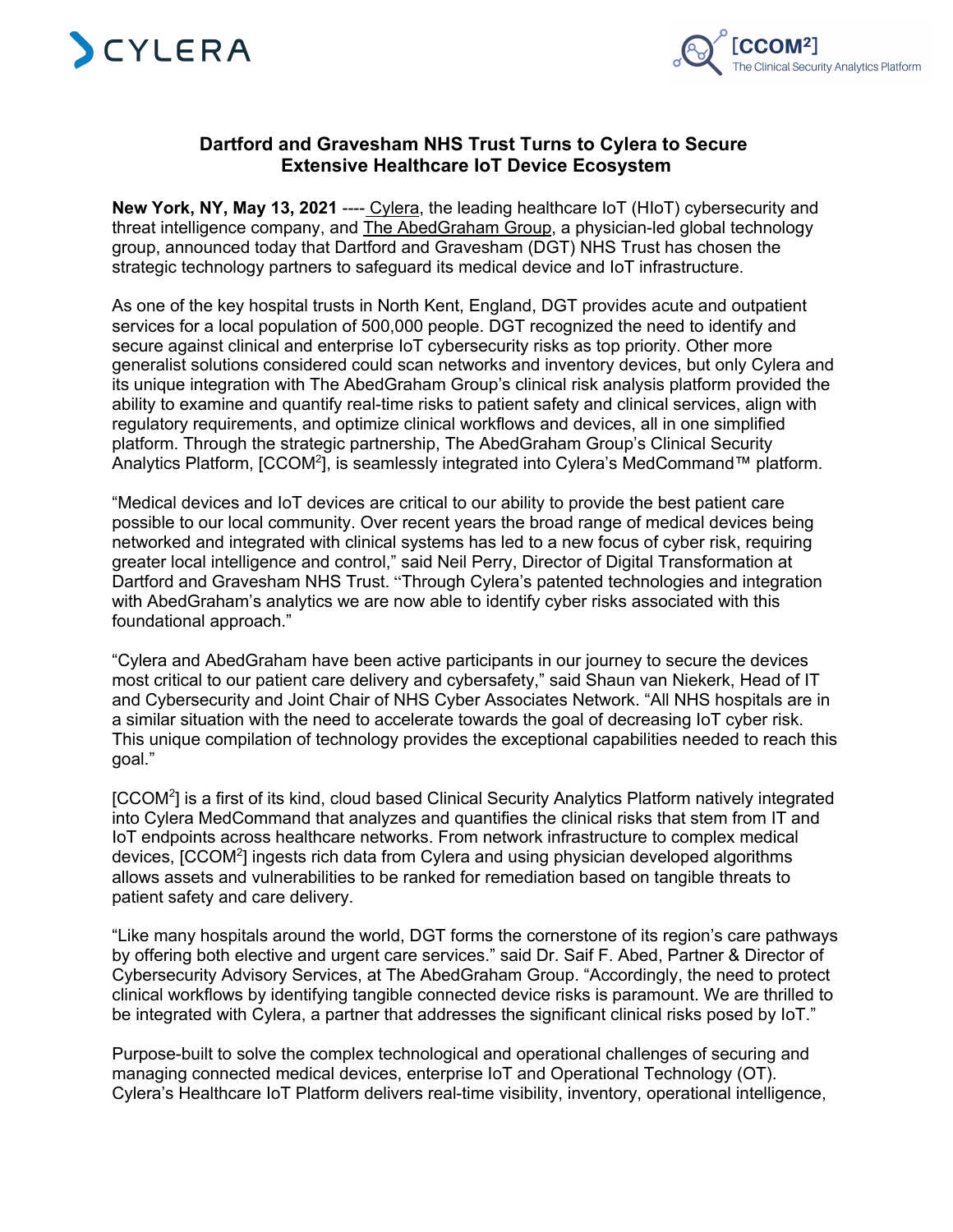



# **Dartford and Gravesham NHS Trust Turns to Cylera to Secure Extensive Healthcare IoT Device Ecosystem**

**New York, NY, May 13, 2021** ---- Cylera, the leading healthcare IoT (HIoT) cybersecurity and threat intelligence company, and The AbedGraham Group, a physician-led global technology group, announced today that Dartford and Gravesham (DGT) NHS Trust has chosen the strategic technology partners to safeguard its medical device and IoT infrastructure.

As one of the key hospital trusts in North Kent, England, DGT provides acute and outpatient services for a local population of 500,000 people. DGT recognized the need to identify and secure against clinical and enterprise IoT cybersecurity risks as top priority. Other more generalist solutions considered could scan networks and inventory devices, but only Cylera and its unique integration with The AbedGraham Group's clinical risk analysis platform provided the ability to examine and quantify real-time risks to patient safety and clinical services, align with regulatory requirements, and optimize clinical workflows and devices, all in one simplified platform. Through the strategic partnership, The AbedGraham Group's Clinical Security Analytics Platform, [CCOM<sup>2</sup>], is seamlessly integrated into Cylera's MedCommand™ platform.

"Medical devices and IoT devices are critical to our ability to provide the best patient care possible to our local community. Over recent years the broad range of medical devices being networked and integrated with clinical systems has led to a new focus of cyber risk, requiring greater local intelligence and control," said Neil Perry, Director of Digital Transformation at Dartford and Gravesham NHS Trust. "Through Cylera's patented technologies and integration with AbedGraham's analytics we are now able to identify cyber risks associated with this foundational approach."

"Cylera and AbedGraham have been active participants in our journey to secure the devices most critical to our patient care delivery and cybersafety," said Shaun van Niekerk, Head of IT and Cybersecurity and Joint Chair of NHS Cyber Associates Network. "All NHS hospitals are in a similar situation with the need to accelerate towards the goal of decreasing IoT cyber risk. This unique compilation of technology provides the exceptional capabilities needed to reach this goal."

[CCOM<sup>2</sup>] is a first of its kind, cloud based Clinical Security Analytics Platform natively integrated into Cylera MedCommand that analyzes and quantifies the clinical risks that stem from IT and IoT endpoints across healthcare networks. From network infrastructure to complex medical devices, [CCOM<sup>2</sup>] ingests rich data from Cylera and using physician developed algorithms allows assets and vulnerabilities to be ranked for remediation based on tangible threats to patient safety and care delivery.

"Like many hospitals around the world, DGT forms the cornerstone of its region's care pathways by offering both elective and urgent care services." said Dr. Saif F. Abed, Partner & Director of Cybersecurity Advisory Services, at The AbedGraham Group. "Accordingly, the need to protect clinical workflows by identifying tangible connected device risks is paramount. We are thrilled to be integrated with Cylera, a partner that addresses the significant clinical risks posed by IoT."

Purpose-built to solve the complex technological and operational challenges of securing and managing connected medical devices, enterprise IoT and Operational Technology (OT). Cylera's Healthcare IoT Platform delivers real-time visibility, inventory, operational intelligence,